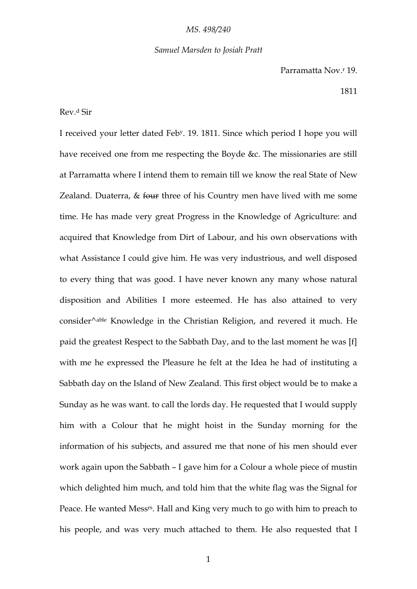### *Samuel Marsden to Josiah Pratt*

Parramatta Nov.<sup>r</sup> 19.

#### 1811

# Rev.<sup>d</sup> Sir

I received your letter dated Feby. 19. 1811. Since which period I hope you will have received one from me respecting the Boyde &c. The missionaries are still at Parramatta where I intend them to remain till we know the real State of New Zealand. Duaterra,  $&$  four three of his Country men have lived with me some time. He has made very great Progress in the Knowledge of Agriculture: and acquired that Knowledge from Dirt of Labour, and his own observations with what Assistance I could give him. He was very industrious, and well disposed to every thing that was good. I have never known any many whose natural disposition and Abilities I more esteemed. He has also attained to very consider<sup> $\wedge$ able Knowledge in the Christian Religion, and revered it much. He</sup> paid the greatest Respect to the Sabbath Day, and to the last moment he was [f] with me he expressed the Pleasure he felt at the Idea he had of instituting a Sabbath day on the Island of New Zealand. This first object would be to make a Sunday as he was want. to call the lords day. He requested that I would supply him with a Colour that he might hoist in the Sunday morning for the information of his subjects, and assured me that none of his men should ever work again upon the Sabbath – I gave him for a Colour a whole piece of mustin which delighted him much, and told him that the white flag was the Signal for Peace. He wanted Messrs. Hall and King very much to go with him to preach to his people, and was very much attached to them. He also requested that I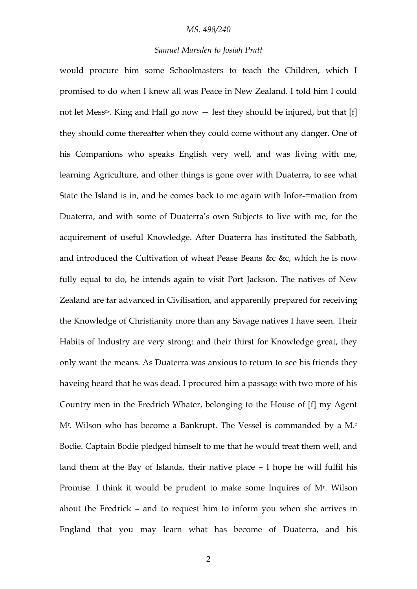# *Samuel Marsden to Josiah Pratt*

would procure him some Schoolmasters to teach the Children, which I promised to do when I knew all was Peace in New Zealand. I told him I could not let Messrs. King and Hall go now — lest they should be injured, but that [f] they should come thereafter when they could come without any danger. One of his Companions who speaks English very well, and was living with me, learning Agriculture, and other things is gone over with Duaterra, to see what State the Island is in, and he comes back to me again with Infor-=mation from Duaterra, and with some of Duaterra's own Subjects to live with me, for the acquirement of useful Knowledge. After Duaterra has instituted the Sabbath, and introduced the Cultivation of wheat Pease Beans &c &c, which he is now fully equal to do, he intends again to visit Port Jackson. The natives of New Zealand are far advanced in Civilisation, and apparenlly prepared for receiving the Knowledge of Christianity more than any Savage natives I have seen. Their Habits of Industry are very strong: and their thirst for Knowledge great, they only want the means. As Duaterra was anxious to return to see his friends they haveing heard that he was dead. I procured him a passage with two more of his Country men in the Fredrich Whater, belonging to the House of [f] my Agent M<sup>r</sup> . Wilson who has become a Bankrupt. The Vessel is commanded by a M.<sup>r</sup> Bodie. Captain Bodie pledged himself to me that he would treat them well, and land them at the Bay of Islands, their native place – I hope he will fulfil his Promise. I think it would be prudent to make some Inquires of M<sup>r</sup>. Wilson about the Fredrick – and to request him to inform you when she arrives in England that you may learn what has become of Duaterra, and his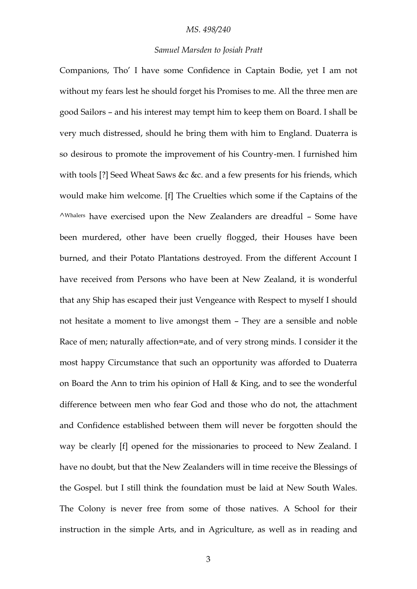#### *Samuel Marsden to Josiah Pratt*

Companions, Tho' I have some Confidence in Captain Bodie, yet I am not without my fears lest he should forget his Promises to me. All the three men are good Sailors – and his interest may tempt him to keep them on Board. I shall be very much distressed, should he bring them with him to England. Duaterra is so desirous to promote the improvement of his Country-men. I furnished him with tools [?] Seed Wheat Saws &c &c. and a few presents for his friends, which would make him welcome. [f] The Cruelties which some if the Captains of the ^Whalers have exercised upon the New Zealanders are dreadful – Some have been murdered, other have been cruelly flogged, their Houses have been burned, and their Potato Plantations destroyed. From the different Account I have received from Persons who have been at New Zealand, it is wonderful that any Ship has escaped their just Vengeance with Respect to myself I should not hesitate a moment to live amongst them – They are a sensible and noble Race of men; naturally affection=ate, and of very strong minds. I consider it the most happy Circumstance that such an opportunity was afforded to Duaterra on Board the Ann to trim his opinion of Hall & King, and to see the wonderful difference between men who fear God and those who do not, the attachment and Confidence established between them will never be forgotten should the way be clearly [f] opened for the missionaries to proceed to New Zealand. I have no doubt, but that the New Zealanders will in time receive the Blessings of the Gospel. but I still think the foundation must be laid at New South Wales. The Colony is never free from some of those natives. A School for their instruction in the simple Arts, and in Agriculture, as well as in reading and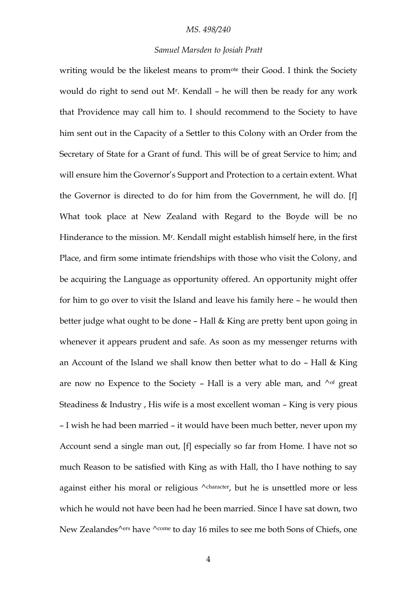# *Samuel Marsden to Josiah Pratt*

writing would be the likelest means to promote their Good. I think the Society would do right to send out M<sup>r</sup> . Kendall – he will then be ready for any work that Providence may call him to. I should recommend to the Society to have him sent out in the Capacity of a Settler to this Colony with an Order from the Secretary of State for a Grant of fund. This will be of great Service to him; and will ensure him the Governor's Support and Protection to a certain extent. What the Governor is directed to do for him from the Government, he will do. [f] What took place at New Zealand with Regard to the Boyde will be no Hinderance to the mission. M<sup>r</sup>. Kendall might establish himself here, in the first Place, and firm some intimate friendships with those who visit the Colony, and be acquiring the Language as opportunity offered. An opportunity might offer for him to go over to visit the Island and leave his family here – he would then better judge what ought to be done – Hall & King are pretty bent upon going in whenever it appears prudent and safe. As soon as my messenger returns with an Account of the Island we shall know then better what to do  $-$  Hall & King are now no Expence to the Society - Hall is a very able man, and  $\wedge$  of great Steadiness & Industry , His wife is a most excellent woman – King is very pious – I wish he had been married – it would have been much better, never upon my Account send a single man out, [f] especially so far from Home. I have not so much Reason to be satisfied with King as with Hall, tho I have nothing to say against either his moral or religious  $\wedge$ character, but he is unsettled more or less which he would not have been had he been married. Since I have sat down, two New Zealandes<sup> $\wedge$ ers</sup> have  $\wedge$ <sup>come</sup> to day 16 miles to see me both Sons of Chiefs, one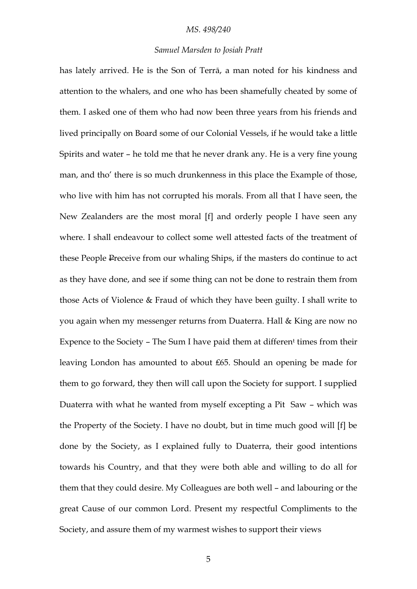# *Samuel Marsden to Josiah Pratt*

has lately arrived. He is the Son of Terrā, a man noted for his kindness and attention to the whalers, and one who has been shamefully cheated by some of them. I asked one of them who had now been three years from his friends and lived principally on Board some of our Colonial Vessels, if he would take a little Spirits and water – he told me that he never drank any. He is a very fine young man, and tho' there is so much drunkenness in this place the Example of those, who live with him has not corrupted his morals. From all that I have seen, the New Zealanders are the most moral [f] and orderly people I have seen any where. I shall endeavour to collect some well attested facts of the treatment of these People Preceive from our whaling Ships, if the masters do continue to act as they have done, and see if some thing can not be done to restrain them from those Acts of Violence & Fraud of which they have been guilty. I shall write to you again when my messenger returns from Duaterra. Hall & King are now no Expence to the Society – The Sum I have paid them at differen<sup>t</sup> times from their leaving London has amounted to about ₤65. Should an opening be made for them to go forward, they then will call upon the Society for support. I supplied Duaterra with what he wanted from myself excepting a Pit Saw – which was the Property of the Society. I have no doubt, but in time much good will [f] be done by the Society, as I explained fully to Duaterra, their good intentions towards his Country, and that they were both able and willing to do all for them that they could desire. My Colleagues are both well – and labouring or the great Cause of our common Lord. Present my respectful Compliments to the Society, and assure them of my warmest wishes to support their views